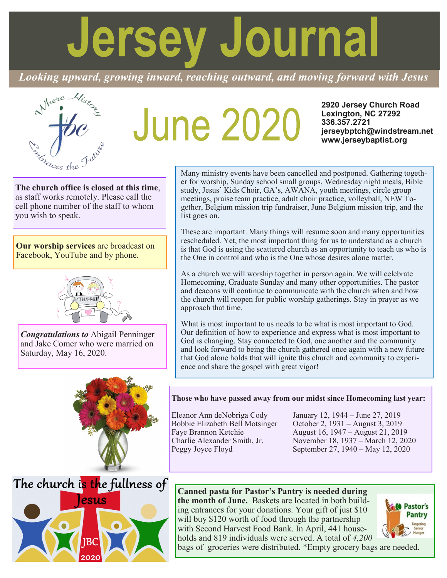# **Jersey Journal**

*Looking upward, growing inward, reaching outward, and moving forward with Jesus*



# **June 2020**

**2920 Jersey Church Road Lexington, NC 27292 336.357.2721 jerseybptch@windstream.net www.jerseybaptist.org**

**The church office is closed at this time**, as staff works remotely. Please call the cell phone number of the staff to whom you wish to speak.

**Our worship services** are broadcast on Facebook, YouTube and by phone.



*Congratulations to* Abigail Penninger and Jake Comer who were married on Saturday, May 16, 2020.



Many ministry events have been cancelled and postponed. Gathering together for worship, Sunday school small groups, Wednesday night meals, Bible study, Jesus' Kids Choir, GA's, AWANA, youth meetings, circle group meetings, praise team practice, adult choir practice, volleyball, NEW Together, Belgium mission trip fundraiser, June Belgium mission trip, and the list goes on.

These are important. Many things will resume soon and many opportunities rescheduled. Yet, the most important thing for us to understand as a church is that God is using the scattered church as an opportunity to teach us who is the One in control and who is the One whose desires alone matter.

As a church we will worship together in person again. We will celebrate Homecoming, Graduate Sunday and many other opportunities. The pastor and deacons will continue to communicate with the church when and how the church will reopen for public worship gatherings. Stay in prayer as we approach that time.

What is most important to us needs to be what is most important to God. Our definition of how to experience and express what is most important to God is changing. Stay connected to God, one another and the community and look forward to being the church gathered once again with a new future that God alone holds that will ignite this church and community to experience and share the gospel with great vigor!

# **Those who have passed away from our midst since Homecoming last year:**

Eleanor Ann deNobriga Cody January 12, 1944 – June 27, 2019 Bobbie Elizabeth Bell Motsinger October 2, 1931 – August 3, 2019 Faye Brannon Ketchie August 16, 1947 – August 21, 2019 Charlie Alexander Smith, Jr. November 18, 1937 – March 12, 2020<br>Peggy Joyce Floyd September 27, 1940 – May 12, 2020 September 27, 1940 – May 12, 2020

# **Canned pasta for Pastor's Pantry is needed during**

**the month of June.** Baskets are located in both building entrances for your donations. Your gift of just \$10 will buy \$120 worth of food through the partnership with Second Harvest Food Bank. In April, 441 households and 819 individuals were served. A total of *4,200* 



The church is the fullness of esus

bags of groceries were distributed. \*Empty grocery bags are needed.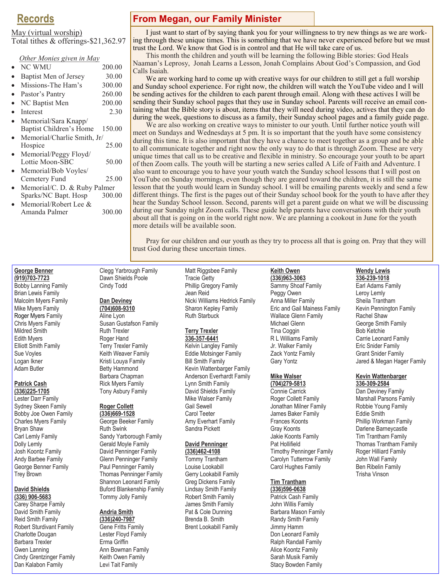# **Records**

#### May (virtual worship)

Total tithes & offerings-\$21,362.97

| Other Monies given in May   |        |
|-----------------------------|--------|
| <b>NC WMU</b>               | 200.00 |
| Baptist Men of Jersey       | 30.00  |
| Missions-The Ham's          | 300.00 |
| Pastor's Pantry             | 260.00 |
| NC Baptist Men              | 200.00 |
| Interest                    | 2.30   |
| Memorial/Sara Knapp/        |        |
| Baptist Children's Home     | 150.00 |
| Memorial/Charlie Smith, Jr/ |        |
| Hospice                     | 25.00  |
| Memorial/Peggy Floyd/       |        |
| Lottie Moon-SBC             | 50.00  |
| Memorial/Bob Voyles/        |        |
| Cemetery Fund               | 25.00  |

- Memorial/C. D. & Ruby Palmer Sparks/NC Bapt. Hosp 300.00
- Memorial/Robert Lee & Amanda Palmer 300.00

# **From Megan, our Family Minister**

I just want to start of by saying thank you for your willingness to try new things as we are working through these unique times. This is something that we have never experienced before but we must trust the Lord. We know that God is in control and that He will take care of us.

This month the children and youth will be learning the following Bible stories: God Heals Naaman's Leprosy, Jonah Learns a Lesson, Jonah Complains About God's Compassion, and God Calls Isaiah.

We are working hard to come up with creative ways for our children to still get a full worship and Sunday school experience. For right now, the children will watch the YouTube video and I will be sending actives for the children to each parent through email. Along with these actives I will be sending their Sunday school pages that they use in Sunday school. Parents will receive an email containing what the Bible story is about, items that they will need during video, actives that they can do during the week, questions to discuss as a family, their Sunday school pages and a family guide page.

We are also working on creative ways to minister to our youth. Until further notice youth will meet on Sundays and Wednesdays at 5 pm. It is so important that the youth have some consistency during this time. It is also important that they have a chance to meet together as a group and be able to all communicate together and right now the only way to do that is through Zoom. These are very unique times that call us to be creative and flexible in ministry. So encourage your youth to be apart of then Zoom calls. The youth will be starting a new series called A Life of Faith and Adventure. I also want to encourage you to have your youth watch the Sunday school lessons that I will post on YouTube on Sunday mornings, even though they are geared toward the children, it is still the same lesson that the youth would learn in Sunday school. I will be emailing parents weekly and send a few different things. The first is the pages out of their Sunday school book for the youth to have after they hear the Sunday School lesson. Second, parents will get a parent guide on what we will be discussing during our Sunday night Zoom calls. These guide help parents have conversations with their youth about all that is going on in the world right now. We are planning a cookout in June for the youth more details will be available soon.

Pray for our children and our youth as they try to process all that is going on. Pray that they will trust God during these uncertain times.

#### **George Benner (919)703-7723**

Bobby Lanning Family Brian Lewis Family Malcolm Myers Family Mike Myers Family Roger Myers Family Chris Myers Family Mildred Smith Edith Myers Elliott Smith Family Sue Voyles Logan Ikner Adam Butler

# **Patrick Cash**

**(336)225-1705** Lester Darr Family Sydney Skeen Family Bobby Joe Owen Family Charles Myers Family Bryan Shaw Carl Lemly Family Dolly Lemly Josh Koontz Family Andy Barbee Family George Benner Family Trey Brown

#### **David Shields (336) 906-5683**

Carey Sharpe Family David Smith Family Reid Smith Family Robert Sturdivant Family Charlotte Dougan Barbara Trexler Gwen Lanning Cindy Grentzinger Family Dan Kalabon Family

Clegg Yarbrough Family Dawn Shields Poole Cindy Todd

# **Dan Deviney**

**(704)608-9310** Aline Lyon Susan Gustafson Family Ruth Trexler Roger Hand Terry Trexler Family Keith Weaver Family Kristi Louya Family Betty Hammond Barbara Chapman Rick Myers Family Tony Asbury Family

#### **Roger Collett (336)669-1528**

George Beeker Family Ruth Swink Sandy Yarborough Family Gerald Moyle Family David Penninger Family Glenn Penninger Family Paul Penninger Family Thomas Penninger Family Shannon Leonard Family Buford Blankenship Family Tommy Jolly Family

#### **Andria Smith**

**(336)240-7987** Gene Fritts Family Lester Floyd Family Erma Griffin Ann Bowman Family Keith Owen Family Levi Tait Family

Matt Riggsbee Family Tracie Getty Phillip Gregory Family Jean Reid Nicki Williams Hedrick Family Sharon Kepley Family Ruth Starbuck

#### **Terry Trexler**

**336-357-6441** Kelvin Langley Family Eddie Motsinger Family Bill Smith Family Kevin Wattenbarger Family Anderson Everhardt Family Lynn Smith Family David Shields Family Mike Walser Family Gail Sewell Carol Teeter Amy Everhart Family Sandra Pickett

#### **David Penninger**

**(336)462-4108** Tommy Trantham Louise Lookabill Gerry Lookabill Family Greg Dickens Family Lindsay Smith Family Robert Smith Family James Smith Family Pat & Cole Dunning Brenda B. Smith Brent Lookabill Family

# **Keith Owen**

**(336)963-3063** Sammy Shoaf Family Peggy Owen Anna Miller Family Eric and Gail Mainess Family Wallace Glenn Family Michael Glenn Tina Coggin R L Williams Family Jr. Walker Family Zack Yontz Family Gary Yontz

# **Mike Walser**

**(704)279-5813** Connie Carrick Roger Collett Family Jonathan Milner Family James Baker Family Frances Koonts Gray Koonts Jakie Koonts Family Pat Hollifield Timothy Penninger Family Carolyn Tutterrow Family Carol Hughes Family

#### **Tim Trantham (336)596-0638**

Patrick Cash Family John Willis Family Barbara Mason Family Randy Smith Family Jimmy Hamm Don Leonard Family Ralph Randall Family Alice Koontz Family Sarah Musik Family Stacy Bowden Family

# **Wendy Lewis**

**336-239-1018** Earl Adams Family Leroy Lemly Sheila Trantham Kevin Pennington Family Rachel Shaw George Smith Family Bob Ketchie Carrie Leonard Family Eric Snider Family Grant Snider Family Jared & Megan Hager Family

#### **Kevin Wattenbarger 336-309-2584**

Dan Deviney Family Marshall Parsons Family Robbie Young Family Eddie Smith Phillip Workman Family Darlene Barneycastle Tim Trantham Family Thomas Trantham Family Roger Hilliard Family John Wall Family Ben Ribelin Family Trisha Vinson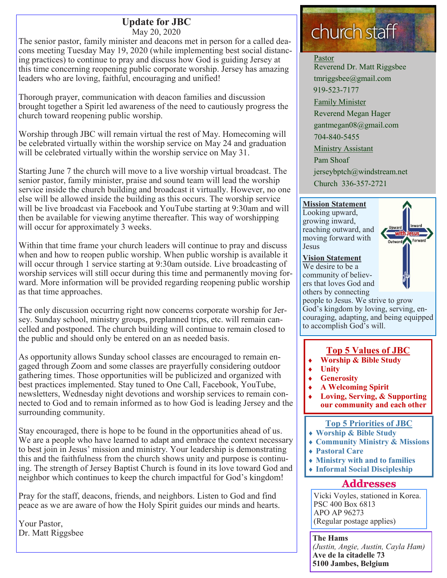# **Update for JBC** May 20, 2020

The senior pastor, family minister and deacons met in person for a called deacons meeting Tuesday May 19, 2020 (while implementing best social distancing practices) to continue to pray and discuss how God is guiding Jersey at this time concerning reopening public corporate worship. Jersey has amazing leaders who are loving, faithful, encouraging and unified!

Thorough prayer, communication with deacon families and discussion brought together a Spirit led awareness of the need to cautiously progress the church toward reopening public worship.

Worship through JBC will remain virtual the rest of May. Homecoming will be celebrated virtually within the worship service on May 24 and graduation will be celebrated virtually within the worship service on May 31.

Starting June 7 the church will move to a live worship virtual broadcast. The senior pastor, family minister, praise and sound team will lead the worship service inside the church building and broadcast it virtually. However, no one else will be allowed inside the building as this occurs. The worship service will be live broadcast via Facebook and YouTube starting at 9:30am and will then be available for viewing anytime thereafter. This way of worshipping will occur for approximately 3 weeks.

Within that time frame your church leaders will continue to pray and discuss when and how to reopen public worship. When public worship is available it will occur through 1 service starting at 9:30am outside. Live broadcasting of worship services will still occur during this time and permanently moving forward. More information will be provided regarding reopening public worship as that time approaches.

The only discussion occurring right now concerns corporate worship for Jersey. Sunday school, ministry groups, preplanned trips, etc. will remain cancelled and postponed. The church building will continue to remain closed to the public and should only be entered on an as needed basis.

As opportunity allows Sunday school classes are encouraged to remain engaged through Zoom and some classes are prayerfully considering outdoor gathering times. Those opportunities will be publicized and organized with best practices implemented. Stay tuned to One Call, Facebook, YouTube, newsletters, Wednesday night devotions and worship services to remain connected to God and to remain informed as to how God is leading Jersey and the surrounding community.

Stay encouraged, there is hope to be found in the opportunities ahead of us. We are a people who have learned to adapt and embrace the context necessary to best join in Jesus' mission and ministry. Your leadership is demonstrating this and the faithfulness from the church shows unity and purpose is continuing. The strength of Jersey Baptist Church is found in its love toward God and neighbor which continues to keep the church impactful for God's kingdom!

Pray for the staff, deacons, friends, and neighbors. Listen to God and find peace as we are aware of how the Holy Spirit guides our minds and hearts.

Your Pastor, Dr. Matt Riggsbee

# church staff

#### Pastor

Reverend Dr. Matt Riggsbee tmriggsbee@gmail.com 919-523-7177 Family Minister Reverend Megan Hager gantmegan08@gmail.com 704-840-5455 Ministry Assistant Pam Shoaf jerseybptch@windstream.net Church 336-357-2721

# **Mission Statement**

Looking upward, growing inward, reaching outward, and moving forward with Jesus



#### **Vision Statement**

We desire to be a community of believers that loves God and others by connecting

people to Jesus. We strive to grow God's kingdom by loving, serving, encouraging, adapting, and being equipped to accomplish God's will.

# **Top 5 Values of JBC**

- **Worship & Bible Study**
- **Unity**
	- **Generosity**
- **A Welcoming Spirit**
- **Loving, Serving, & Supporting our community and each other**

# **Top 5 Priorities of JBC**

- **Worship & Bible Study**
- **Community Ministry & Missions**
- **Pastoral Care**
- **Ministry with and to families**
- **Informal Social Discipleship**

# **Addresses**

Vicki Voyles, stationed in Korea. PSC 400 Box 6813 APO AP 96273 (Regular postage applies)

**The Hams** *(Justin, Angie, Austin, Cayla Ham)* **Ave de la citadelle 73 5100 Jambes, Belgium**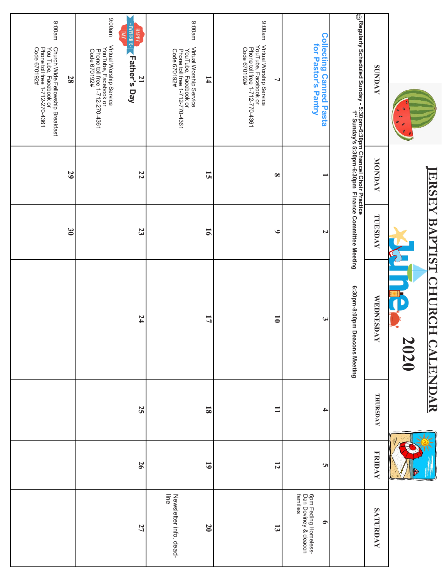|                                                                                                                                                                             | ERSE     | BAP<br>LISLI     | <b>CHI</b><br><b>RCH</b><br>2020<br>CA<br><b>HNT</b> | 天                       | <b>FRIDAY</b> |
|-----------------------------------------------------------------------------------------------------------------------------------------------------------------------------|----------|------------------|------------------------------------------------------|-------------------------|---------------|
| <b>SUNDAY</b>                                                                                                                                                               | MONDAY   | TUESDAY          | <b>WEDNESDAY</b>                                     | THURSDAY                |               |
| .⊙ Regularly Scheduled Sunday - 5:30pm-6:30pm Chancel Choir Practice<br>© Regularly Scheduled Sunday - 5:30pm-6:30pm -6:30pm  Finance Committee Meeting                     |          |                  | 6:30pm-8:00pm Deacons Meeting                        |                         |               |
| <b>Collecting Canned Pasta</b><br>for Pastor's Pantry                                                                                                                       |          | N                | ىيى                                                  | $\rightarrow$           |               |
| ma00:6<br>Virtual Worship Service<br>YouTube, Facebook or<br>Phone toll free 1-712-770-4361<br>Code 670192#<br>⊣                                                            | $\infty$ | $\bullet$        | $\overline{\bullet}$                                 | $\mathbf{I}$            |               |
| me00:6<br>Virtual Worship Service<br>YouTube, Facebook or<br>Phone toll free 1-712-770-4361<br>Code 670192#<br>$\mathbf{14}$                                                | 51       | $\overline{5}$   | 17                                                   | $\overline{\mathbf{8}}$ |               |
| ma00:6<br>*S.HIHINA*<br><b>HAPPY</b><br>Σ<br>Virtual Worship Service<br>YouTube, Facebook or<br>Phone toll free 1-712-270-4361<br>Code 670192#<br><b>Father's Day</b><br>21 | 22       | 23               | 74                                                   |                         | 25            |
| ma00:6<br>Church Wide Fellowship Breakfast<br>You Tube, Facebook or<br>Phone toll free 1-712-270-4361<br>Code 670192#<br>28                                                 | 29       | $\mathfrak{g}_0$ |                                                      |                         |               |